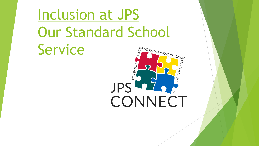# Inclusion at JPS Our Standard School Service

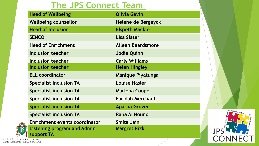#### **The JPS Connect Team**

| <b>Head of Wellbeing</b>                         | <b>Olivia Gavin</b>       |
|--------------------------------------------------|---------------------------|
| <b>Wellbeing counsellor</b>                      | <b>Helene de Bergeyck</b> |
| <b>Head of Inclusion</b>                         | <b>Elspeth Mackie</b>     |
| <b>SENCO</b>                                     | <b>Lisa Slater</b>        |
| <b>Head of Enrichment</b>                        | Aileen Beardsmore         |
| <b>Inclusion teacher</b>                         | <b>Jodie Quinn</b>        |
| Inclusion teacher                                | <b>Carly Williams</b>     |
| Inclusion teacher                                | <b>Helen Hingley</b>      |
| <b>ELL coordinator</b>                           | <b>Manique Piyatunga</b>  |
| <b>Specialist inclusion TA</b>                   | <b>Louise Hasler</b>      |
| <b>Specialist inclusion TA</b>                   | <b>Marlena Coope</b>      |
| <b>Specialist inclusion TA</b>                   | <b>Faridah Merchant</b>   |
| <b>Specialist inclusion TA</b>                   | <b>Aparna Grover</b>      |
| <b>Specialist inclusion TA</b>                   | <b>Rana Al Nouno</b>      |
| <b>Enrichment events coordinator</b>             | Smita Jain                |
| <b>Listening program and Admin</b><br>support TA | <b>Margret Rizk</b>       |

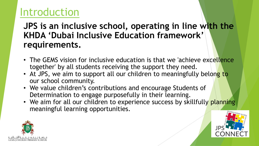#### Introduction

**JPS is an inclusive school, operating in line with the KHDA 'Dubai Inclusive Education framework' requirements.**

- The GEMS vision for inclusive education is that we 'achieve excellence together' by all students receiving the support they need.
- At JPS, we aim to support all our children to meaningfully belong to our school community.
- We value children's contributions and encourage Students of Determination to engage purposefully in their learning.
- We aim for all our children to experience success by skillfully planning meaningful learning opportunities.



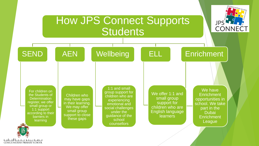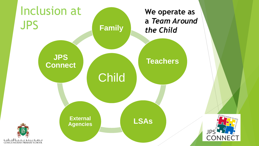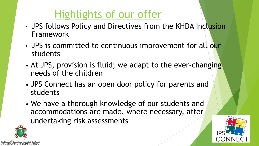## Highlights of our offer

- JPS follows Policy and Directives from the KHDA Inclusion Framework
- JPS is committed to continuous improvement for all our students
- At JPS, provision is fluid; we adapt to the ever-changing needs of the children
- JPS Connect has an open door policy for parents and students
- We have a thorough knowledge of our students and accommodations are made, where necessary, after undertaking risk assessments



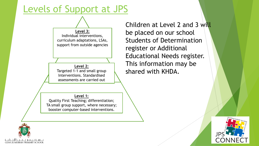#### Levels of Support at JPS



**Level 1:**  Quality First Teaching; differentiation; TA small group support, where necessary; booster computer-based interventions.

Children at Level 2 and 3 will be placed on our school Students of Determination register or Additional Educational Needs register. This information may be shared with KHDA.



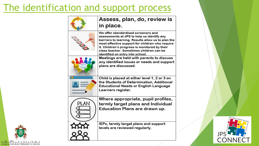#### The identification and support process

| 6985          | Assess, plan, do, review is<br>in place.                                                                                                                                                                                                                                                                                    |
|---------------|-----------------------------------------------------------------------------------------------------------------------------------------------------------------------------------------------------------------------------------------------------------------------------------------------------------------------------|
| <b>BULLAR</b> | We offer standardised screeners and<br>assessments at JPS to help us identify any<br>barriers to learning. Results allow us to plan the<br>most effective support for children who require<br>it. Children's progress is monitored by their<br>class teacher. Sometimes children can be<br>identified on entry into school. |
|               | Meetings are held with parents to discuss<br>any identified issues or needs and support<br>plans are discussed.                                                                                                                                                                                                             |
|               | Child is placed at either level 1, 2 or 3 on<br>the Students of Determination, Additional<br>Educational Needs or English Language<br>Learners register.                                                                                                                                                                    |
| PLAN          | Where appropriate, pupil profiles,<br>termly target plans and Individual<br>Education Plans are drawn up.                                                                                                                                                                                                                   |
|               | IEPs, termly target plans and support<br>levels are reviewed regularly.                                                                                                                                                                                                                                                     |



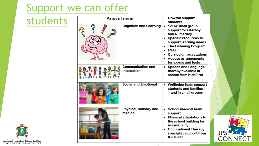#### Support we can offer

#### students

| Area of need |                                  |   | How we support<br><b>students</b>                                                                                                                                                                                                    |
|--------------|----------------------------------|---|--------------------------------------------------------------------------------------------------------------------------------------------------------------------------------------------------------------------------------------|
|              | <b>Cognition and Learning</b>    | ٠ | 1-1 or small group<br>support for Literacy<br>and Numeracy<br>Specific resources to<br>support learning needs<br>The Listening Program<br><b>LSAs</b><br><b>Curriculum adaptations</b><br>Access arrangements<br>for exams and tests |
|              | Communication and<br>Interaction |   | Speech and Language<br>therapy available in<br>school from KidsFirst                                                                                                                                                                 |
|              | <b>Social and Emotional</b>      |   | Wellbeing team support<br>students and families 1.<br>1 and in small groups                                                                                                                                                          |
|              | Physical, sensory and<br>medical | ٠ | School medical team<br>support<br>Physical adaptations to<br>the school building for<br>accessibility<br><b>Occupational Therapy</b><br>specialist support from<br><b>KidsFirst</b>                                                  |



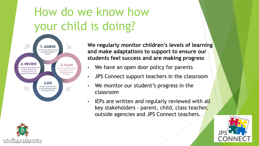## How do we know how your child is doing?



JUMEIRAH PRIMARY SCHOOI

**We regularly monitor children's levels of learning and make adaptations to support to ensure our students feel success and are making progress** 

- We have an open door policy for parents
- JPS Connect support teachers in the classroom
- We monitor our student's progress in the classroom
- IEPs are written and regularly reviewed with all key stakeholders - parent, child, class teacher, outside agencies and JPS Connect teachers.